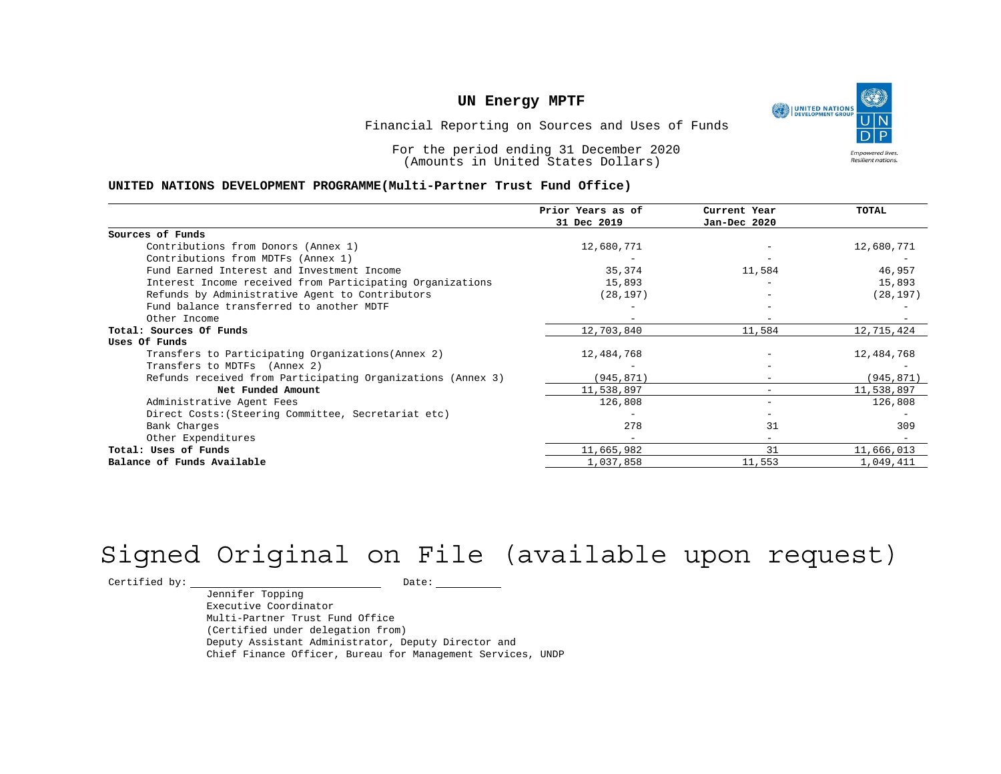UNITED NATIONS **Empowered lives** Resilient nations.

Financial Reporting on Sources and Uses of Funds

For the period ending 31 December 2020 (Amounts in United States Dollars)

#### **UNITED NATIONS DEVELOPMENT PROGRAMME(Multi-Partner Trust Fund Office)**

|                                                             | Prior Years as of | Current Year                 | <b>TOTAL</b> |
|-------------------------------------------------------------|-------------------|------------------------------|--------------|
|                                                             | 31 Dec 2019       | Jan-Dec 2020                 |              |
| Sources of Funds                                            |                   |                              |              |
| Contributions from Donors (Annex 1)                         | 12,680,771        |                              | 12,680,771   |
| Contributions from MDTFs (Annex 1)                          |                   |                              |              |
| Fund Earned Interest and Investment Income                  | 35,374            | 11,584                       | 46,957       |
| Interest Income received from Participating Organizations   | 15,893            |                              | 15,893       |
| Refunds by Administrative Agent to Contributors             | (28, 197)         |                              | (28, 197)    |
| Fund balance transferred to another MDTF                    |                   |                              |              |
| Other Income                                                |                   | $\overline{\phantom{0}}$     |              |
| Total: Sources Of Funds                                     | 12,703,840        | 11,584                       | 12,715,424   |
| Uses Of Funds                                               |                   |                              |              |
| Transfers to Participating Organizations (Annex 2)          | 12,484,768        |                              | 12,484,768   |
| Transfers to MDTFs (Annex 2)                                |                   |                              |              |
| Refunds received from Participating Organizations (Annex 3) | (945, 871)        | $\qquad \qquad \blacksquare$ | (945, 871)   |
| Net Funded Amount                                           | 11,538,897        |                              | 11,538,897   |
| Administrative Agent Fees                                   | 126,808           | -                            | 126,808      |
| Direct Costs: (Steering Committee, Secretariat etc)         |                   |                              |              |
| Bank Charges                                                | 278               | 31                           | 309          |
| Other Expenditures                                          |                   | $\overline{\phantom{0}}$     |              |
| Total: Uses of Funds                                        | 11,665,982        | 31                           | 11,666,013   |
| Balance of Funds Available                                  | 1,037,858         | 11,553                       | 1,049,411    |

# Signed Original on File (available upon request)

 $\begin{tabular}{c} \multicolumn{2}{c}{{\texttt{Certified by:}}}} \quad \quad \texttt{Date:} \end{tabular}$ 

Jennifer Topping Executive Coordinator Multi-Partner Trust Fund Office (Certified under delegation from) Deputy Assistant Administrator, Deputy Director and Chief Finance Officer, Bureau for Management Services, UNDP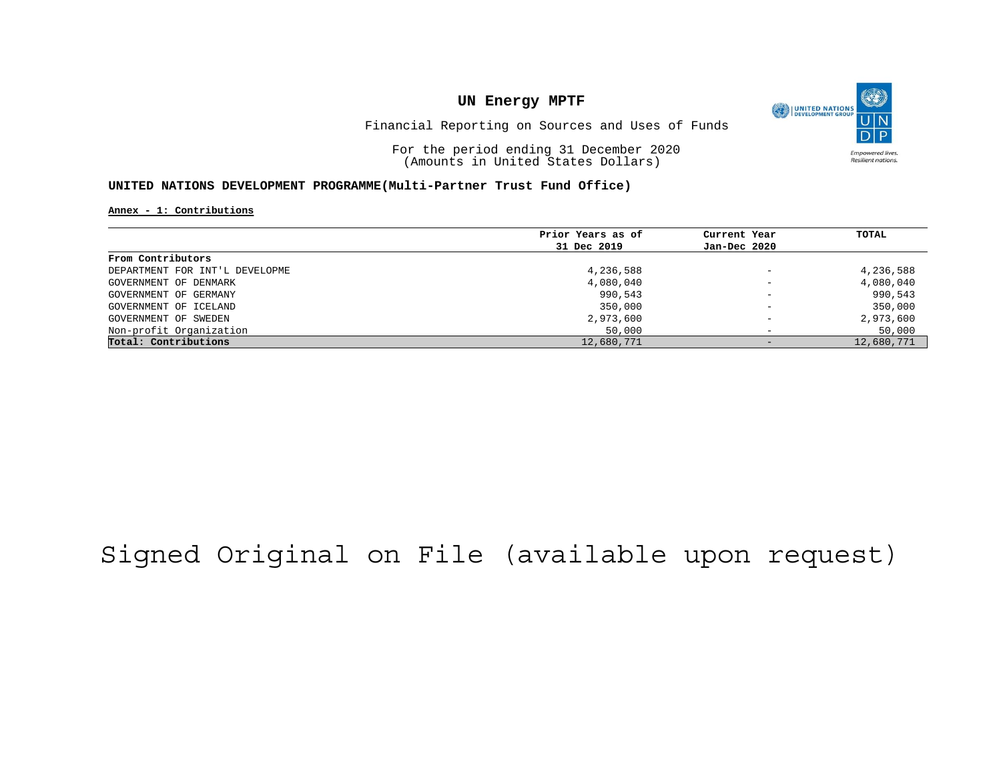

Financial Reporting on Sources and Uses of Funds

For the period ending 31 December 2020 (Amounts in United States Dollars)

### **UNITED NATIONS DEVELOPMENT PROGRAMME(Multi-Partner Trust Fund Office)**

**Annex - 1: Contributions**

|                                | Prior Years as of | Current Year             | TOTAL      |
|--------------------------------|-------------------|--------------------------|------------|
|                                | 31 Dec 2019       | Jan-Dec 2020             |            |
| From Contributors              |                   |                          |            |
| DEPARTMENT FOR INT'L DEVELOPME | 4,236,588         | $\overline{\phantom{m}}$ | 4,236,588  |
| GOVERNMENT OF DENMARK          | 4,080,040         | $\overline{\phantom{0}}$ | 4,080,040  |
| GOVERNMENT OF GERMANY          | 990,543           | $\overline{\phantom{0}}$ | 990,543    |
| GOVERNMENT OF ICELAND          | 350,000           | $\qquad \qquad -$        | 350,000    |
| GOVERNMENT OF SWEDEN           | 2,973,600         | $\qquad \qquad -$        | 2,973,600  |
| Non-profit Organization        | 50,000            | $\overline{\phantom{0}}$ | 50,000     |
| Total: Contributions           | 12,680,771        |                          | 12,680,771 |

# Signed Original on File (available upon request)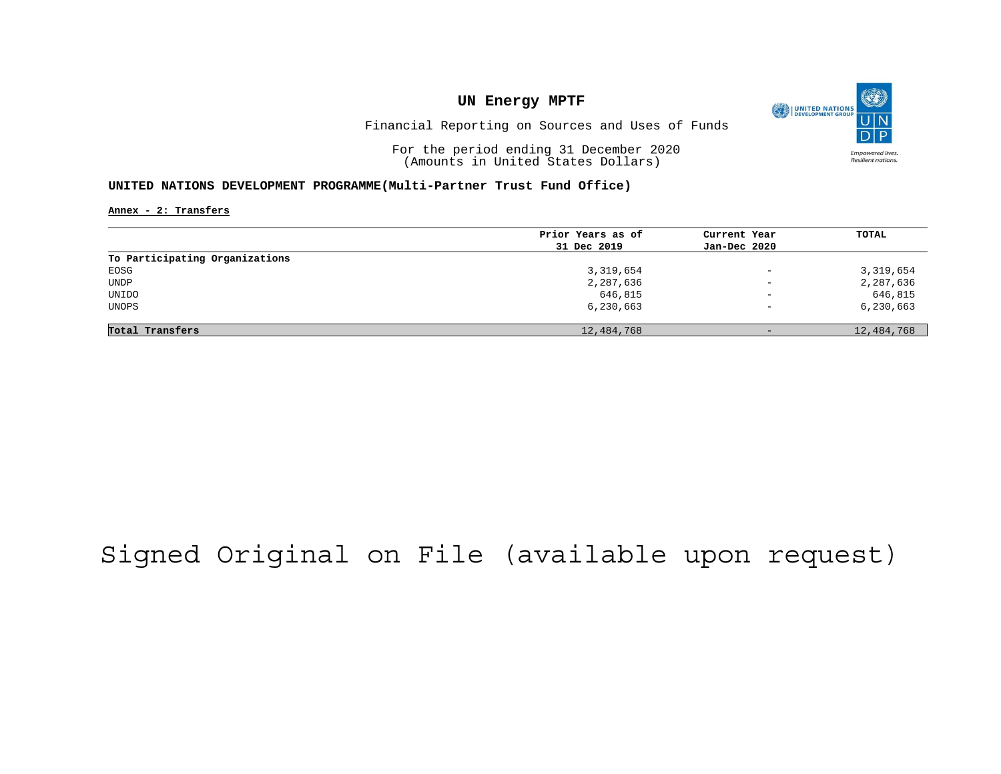

Financial Reporting on Sources and Uses of Funds

For the period ending 31 December 2020 (Amounts in United States Dollars)

### **UNITED NATIONS DEVELOPMENT PROGRAMME(Multi-Partner Trust Fund Office)**

**Annex - 2: Transfers**

|                                | Prior Years as of | Current Year             | TOTAL      |
|--------------------------------|-------------------|--------------------------|------------|
|                                | 31 Dec 2019       | Jan-Dec 2020             |            |
| To Participating Organizations |                   |                          |            |
| EOSG                           | 3,319,654         | $\overline{\phantom{m}}$ | 3,319,654  |
| <b>UNDP</b>                    | 2,287,636         | $\overline{\phantom{0}}$ | 2,287,636  |
| UNIDO                          | 646,815           | $\overline{\phantom{m}}$ | 646,815    |
| UNOPS                          | 6,230,663         | $\overline{\phantom{0}}$ | 6,230,663  |
|                                |                   |                          |            |
| Total Transfers                | 12,484,768        | $-$                      | 12,484,768 |

# Signed Original on File (available upon request)